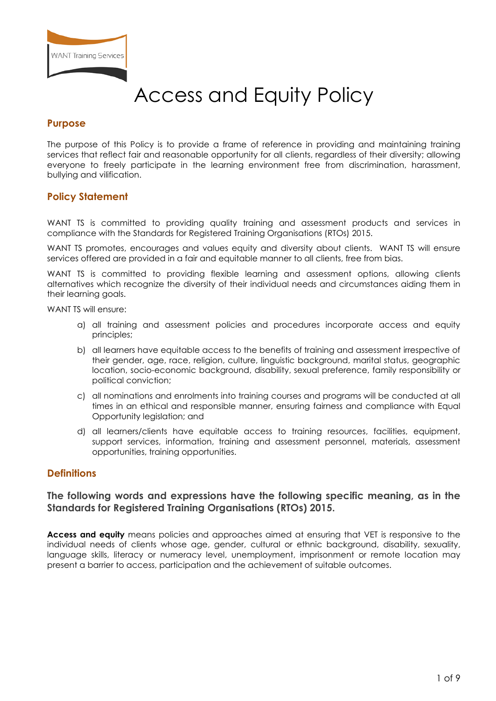

# Access and Equity Policy

## **Purpose**

The purpose of this Policy is to provide a frame of reference in providing and maintaining training services that reflect fair and reasonable opportunity for all clients, regardless of their diversity; allowing everyone to freely participate in the learning environment free from discrimination, harassment, bullying and vilification.

# **Policy Statement**

WANT TS is committed to providing quality training and assessment products and services in compliance with the Standards for Registered Training Organisations (RTOs) 2015.

WANT TS promotes, encourages and values equity and diversity about clients. WANT TS will ensure services offered are provided in a fair and equitable manner to all clients, free from bias.

WANT TS is committed to providing flexible learning and assessment options, allowing clients alternatives which recognize the diversity of their individual needs and circumstances aiding them in their learning goals.

WANT TS will ensure:

- a) all training and assessment policies and procedures incorporate access and equity principles;
- b) all learners have equitable access to the benefits of training and assessment irrespective of their gender, age, race, religion, culture, linguistic background, marital status, geographic location, socio-economic background, disability, sexual preference, family responsibility or political conviction;
- c) all nominations and enrolments into training courses and programs will be conducted at all times in an ethical and responsible manner, ensuring fairness and compliance with Equal Opportunity legislation; and
- d) all learners/clients have equitable access to training resources, facilities, equipment, support services, information, training and assessment personnel, materials, assessment opportunities, training opportunities.

#### **Definitions**

## **The following words and expressions have the following specific meaning, as in the Standards for Registered Training Organisations (RTOs) 2015.**

**Access and equity** means policies and approaches aimed at ensuring that VET is responsive to the individual needs of clients whose age, gender, cultural or ethnic background, disability, sexuality, language skills, literacy or numeracy level, unemployment, imprisonment or remote location may present a barrier to access, participation and the achievement of suitable outcomes.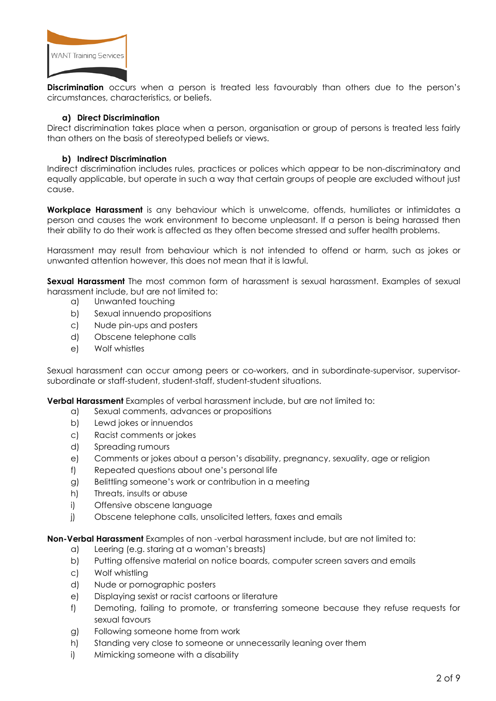

**Discrimination** occurs when a person is treated less favourably than others due to the person's circumstances, characteristics, or beliefs.

#### **a) Direct Discrimination**

Direct discrimination takes place when a person, organisation or group of persons is treated less fairly than others on the basis of stereotyped beliefs or views.

#### **b) Indirect Discrimination**

Indirect discrimination includes rules, practices or polices which appear to be non-discriminatory and equally applicable, but operate in such a way that certain groups of people are excluded without just cause.

**Workplace Harassment** is any behaviour which is unwelcome, offends, humiliates or intimidates a person and causes the work environment to become unpleasant. If a person is being harassed then their ability to do their work is affected as they often become stressed and suffer health problems.

Harassment may result from behaviour which is not intended to offend or harm, such as jokes or unwanted attention however, this does not mean that it is lawful.

**Sexual Harassment** The most common form of harassment is sexual harassment. Examples of sexual harassment include, but are not limited to:

- a) Unwanted touching
- b) Sexual innuendo propositions
- c) Nude pin-ups and posters
- d) Obscene telephone calls
- e) Wolf whistles

Sexual harassment can occur among peers or co-workers, and in subordinate-supervisor, supervisorsubordinate or staff-student, student-staff, student-student situations.

**Verbal Harassment** Examples of verbal harassment include, but are not limited to:

- a) Sexual comments, advances or propositions
- b) Lewd jokes or innuendos
- c) Racist comments or jokes
- d) Spreading rumours
- e) Comments or jokes about a person's disability, pregnancy, sexuality, age or religion
- f) Repeated questions about one's personal life
- g) Belittling someone's work or contribution in a meeting
- h) Threats, insults or abuse
- i) Offensive obscene language
- j) Obscene telephone calls, unsolicited letters, faxes and emails

**Non-Verbal Harassment** Examples of non -verbal harassment include, but are not limited to:

- a) Leering (e.g. staring at a woman's breasts)
- b) Putting offensive material on notice boards, computer screen savers and emails
- c) Wolf whistling
- d) Nude or pornographic posters
- e) Displaying sexist or racist cartoons or literature
- f) Demoting, failing to promote, or transferring someone because they refuse requests for sexual favours
- g) Following someone home from work
- h) Standing very close to someone or unnecessarily leaning over them
- i) Mimicking someone with a disability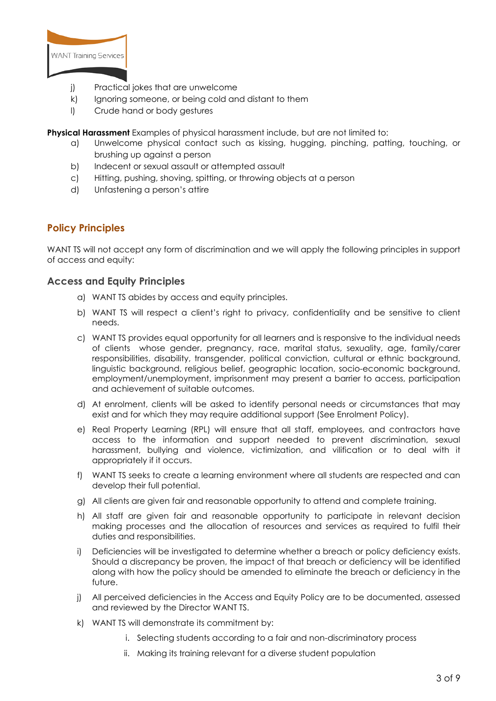

- j) Practical jokes that are unwelcome
- k) Ignoring someone, or being cold and distant to them
- l) Crude hand or body gestures

**Physical Harassment** Examples of physical harassment include, but are not limited to:

- a) Unwelcome physical contact such as kissing, hugging, pinching, patting, touching, or brushing up against a person
- b) Indecent or sexual assault or attempted assault
- c) Hitting, pushing, shoving, spitting, or throwing objects at a person
- d) Unfastening a person's attire

# **Policy Principles**

WANT TS will not accept any form of discrimination and we will apply the following principles in support of access and equity:

#### **Access and Equity Principles**

- a) WANT TS abides by access and equity principles.
- b) WANT TS will respect a client's right to privacy, confidentiality and be sensitive to client needs.
- c) WANT TS provides equal opportunity for all learners and is responsive to the individual needs of clients whose gender, pregnancy, race, marital status, sexuality, age, family/carer responsibilities, disability, transgender, political conviction, cultural or ethnic background, linguistic background, religious belief, geographic location, socio-economic background, employment/unemployment, imprisonment may present a barrier to access, participation and achievement of suitable outcomes.
- d) At enrolment, clients will be asked to identify personal needs or circumstances that may exist and for which they may require additional support (See Enrolment Policy).
- e) Real Property Learning (RPL) will ensure that all staff, employees, and contractors have access to the information and support needed to prevent discrimination, sexual harassment, bullying and violence, victimization, and vilification or to deal with it appropriately if it occurs.
- f) WANT TS seeks to create a learning environment where all students are respected and can develop their full potential.
- g) All clients are given fair and reasonable opportunity to attend and complete training.
- h) All staff are given fair and reasonable opportunity to participate in relevant decision making processes and the allocation of resources and services as required to fulfil their duties and responsibilities.
- i) Deficiencies will be investigated to determine whether a breach or policy deficiency exists. Should a discrepancy be proven, the impact of that breach or deficiency will be identified along with how the policy should be amended to eliminate the breach or deficiency in the future.
- j) All perceived deficiencies in the Access and Equity Policy are to be documented, assessed and reviewed by the Director WANT TS.
- k) WANT TS will demonstrate its commitment by:
	- i. Selecting students according to a fair and non-discriminatory process
	- ii. Making its training relevant for a diverse student population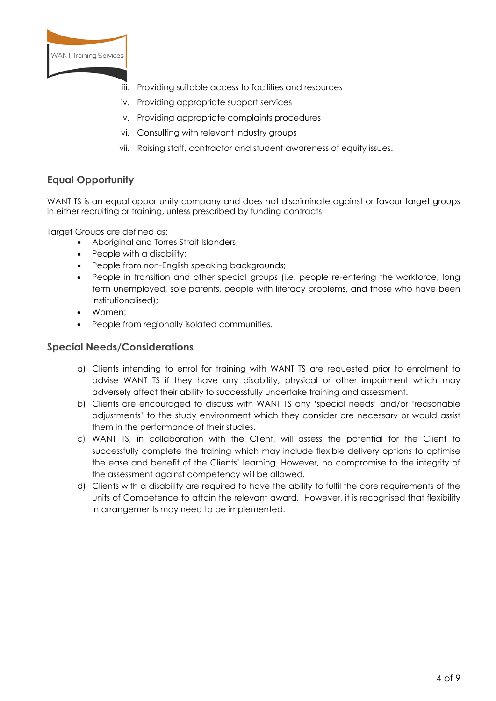

- iii. Providing suitable access to facilities and resources
- iv. Providing appropriate support services
- v. Providing appropriate complaints procedures
- vi. Consulting with relevant industry groups
- vii. Raising staff, contractor and student awareness of equity issues.

# **Equal Opportunity**

WANT TS is an equal opportunity company and does not discriminate against or favour target groups in either recruiting or training, unless prescribed by funding contracts.

Target Groups are defined as:

- Aboriginal and Torres Strait Islanders;
- People with a disability;
- People from non-English speaking backgrounds;
- People in transition and other special groups (i.e. people re-entering the workforce, long term unemployed, sole parents, people with literacy problems, and those who have been institutionalised);
- Women;
- People from regionally isolated communities.

## **Special Needs/Considerations**

- a) Clients intending to enrol for training with WANT TS are requested prior to enrolment to advise WANT TS if they have any disability, physical or other impairment which may adversely affect their ability to successfully undertake training and assessment.
- b) Clients are encouraged to discuss with WANT TS any 'special needs' and/or 'reasonable adjustments' to the study environment which they consider are necessary or would assist them in the performance of their studies.
- c) WANT TS, in collaboration with the Client, will assess the potential for the Client to successfully complete the training which may include flexible delivery options to optimise the ease and benefit of the Clients' learning. However, no compromise to the integrity of the assessment against competency will be allowed.
- d) Clients with a disability are required to have the ability to fulfil the core requirements of the units of Competence to attain the relevant award. However, it is recognised that flexibility in arrangements may need to be implemented.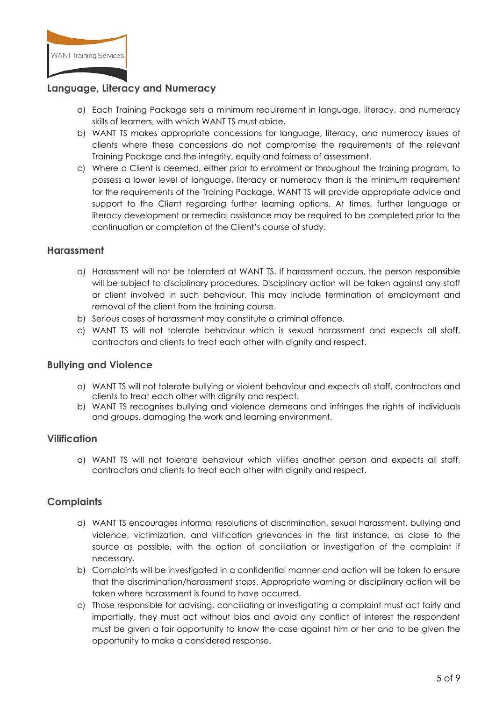

# **Language, Literacy and Numeracy**

- a) Each Training Package sets a minimum requirement in language, literacy, and numeracy skills of learners, with which WANT TS must abide.
- b) WANT TS makes appropriate concessions for language, literacy, and numeracy issues of clients where these concessions do not compromise the requirements of the relevant Training Package and the integrity, equity and fairness of assessment.
- c) Where a Client is deemed, either prior to enrolment or throughout the training program, to possess a lower level of language, literacy or numeracy than is the minimum requirement for the requirements of the Training Package, WANT TS will provide appropriate advice and support to the Client regarding further learning options. At times, further language or literacy development or remedial assistance may be required to be completed prior to the continuation or completion of the Client's course of study.

#### **Harassment**

- a) Harassment will not be tolerated at WANT TS. If harassment occurs, the person responsible will be subject to disciplinary procedures. Disciplinary action will be taken against any staff or client involved in such behaviour. This may include termination of employment and removal of the client from the training course.
- b) Serious cases of harassment may constitute a criminal offence.
- c) WANT TS will not tolerate behaviour which is sexual harassment and expects all staff, contractors and clients to treat each other with dignity and respect.

#### **Bullying and Violence**

- a) WANT TS will not tolerate bullying or violent behaviour and expects all staff, contractors and clients to treat each other with dignity and respect.
- b) WANT TS recognises bullying and violence demeans and infringes the rights of individuals and groups, damaging the work and learning environment.

#### **Vilification**

a) WANT TS will not tolerate behaviour which vilifies another person and expects all staff, contractors and clients to treat each other with dignity and respect.

# **Complaints**

- a) WANT TS encourages informal resolutions of discrimination, sexual harassment, bullying and violence, victimization, and vilification grievances in the first instance, as close to the source as possible, with the option of conciliation or investigation of the complaint if necessary.
- b) Complaints will be investigated in a confidential manner and action will be taken to ensure that the discrimination/harassment stops. Appropriate warning or disciplinary action will be taken where harassment is found to have occurred.
- c) Those responsible for advising, conciliating or investigating a complaint must act fairly and impartially, they must act without bias and avoid any conflict of interest the respondent must be given a fair opportunity to know the case against him or her and to be given the opportunity to make a considered response.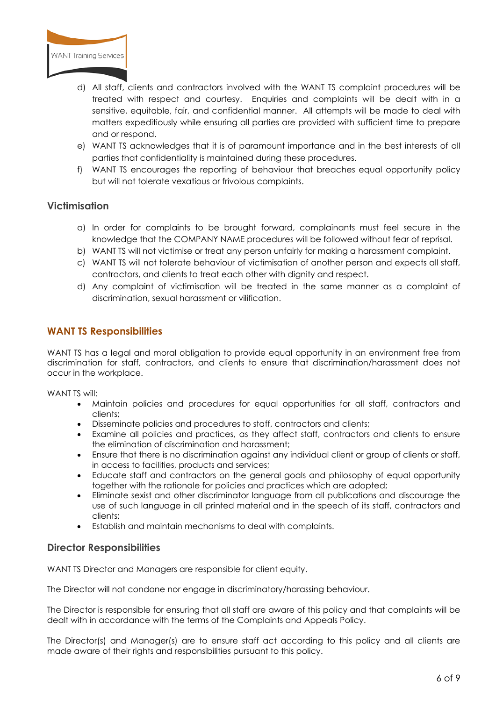

- d) All staff, clients and contractors involved with the WANT TS complaint procedures will be treated with respect and courtesy. Enquiries and complaints will be dealt with in a sensitive, equitable, fair, and confidential manner. All attempts will be made to deal with matters expeditiously while ensuring all parties are provided with sufficient time to prepare and or respond.
- e) WANT TS acknowledges that it is of paramount importance and in the best interests of all parties that confidentiality is maintained during these procedures.
- f) WANT TS encourages the reporting of behaviour that breaches equal opportunity policy but will not tolerate vexatious or frivolous complaints.

# **Victimisation**

- a) In order for complaints to be brought forward, complainants must feel secure in the knowledge that the COMPANY NAME procedures will be followed without fear of reprisal.
- b) WANT TS will not victimise or treat any person unfairly for making a harassment complaint.
- c) WANT TS will not tolerate behaviour of victimisation of another person and expects all staff, contractors, and clients to treat each other with dignity and respect.
- d) Any complaint of victimisation will be treated in the same manner as a complaint of discrimination, sexual harassment or vilification.

#### **WANT TS Responsibilities**

WANT TS has a legal and moral obligation to provide equal opportunity in an environment free from discrimination for staff, contractors, and clients to ensure that discrimination/harassment does not occur in the workplace.

WANT TS will:

- Maintain policies and procedures for equal opportunities for all staff, contractors and clients;
- Disseminate policies and procedures to staff, contractors and clients;
- Examine all policies and practices, as they affect staff, contractors and clients to ensure the elimination of discrimination and harassment;
- Ensure that there is no discrimination against any individual client or group of clients or staff, in access to facilities, products and services;
- Educate staff and contractors on the general goals and philosophy of equal opportunity together with the rationale for policies and practices which are adopted;
- Eliminate sexist and other discriminator language from all publications and discourage the use of such language in all printed material and in the speech of its staff, contractors and clients;
- Establish and maintain mechanisms to deal with complaints.

#### **Director Responsibilities**

WANT TS Director and Managers are responsible for client equity.

The Director will not condone nor engage in discriminatory/harassing behaviour.

The Director is responsible for ensuring that all staff are aware of this policy and that complaints will be dealt with in accordance with the terms of the Complaints and Appeals Policy.

The Director(s) and Manager(s) are to ensure staff act according to this policy and all clients are made aware of their rights and responsibilities pursuant to this policy.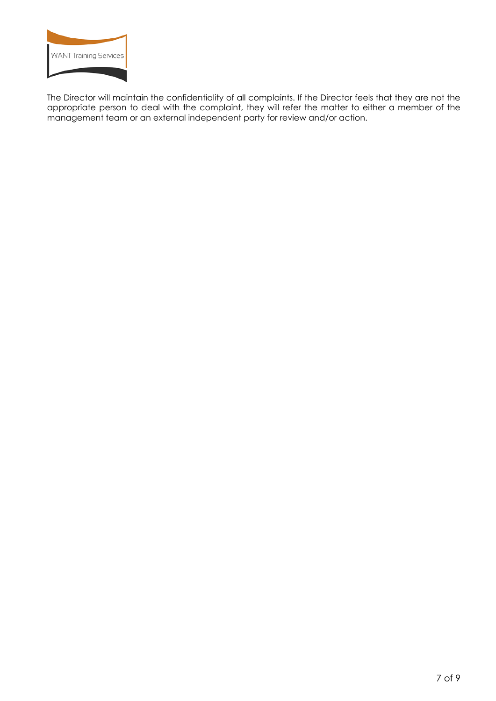

The Director will maintain the confidentiality of all complaints. If the Director feels that they are not the appropriate person to deal with the complaint, they will refer the matter to either a member of the management team or an external independent party for review and/or action.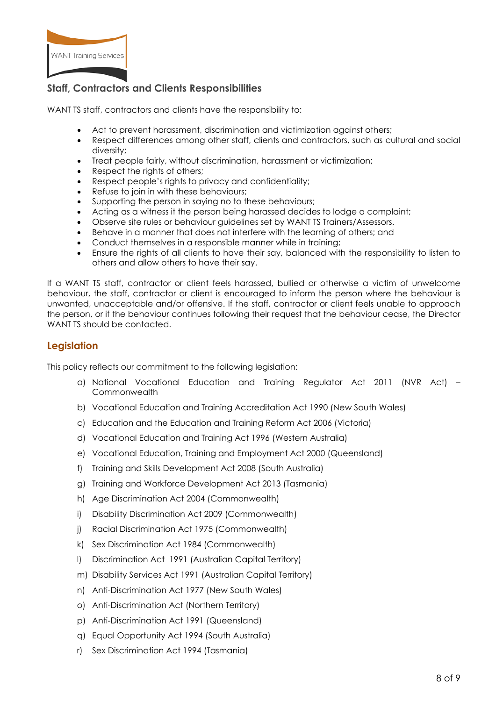

# **Staff, Contractors and Clients Responsibilities**

WANT TS staff, contractors and clients have the responsibility to:

- Act to prevent harassment, discrimination and victimization against others;
- Respect differences among other staff, clients and contractors, such as cultural and social diversity;
- Treat people fairly, without discrimination, harassment or victimization;
- Respect the rights of others;
- Respect people's rights to privacy and confidentiality;
- Refuse to join in with these behaviours;
- Supporting the person in saying no to these behaviours;
- Acting as a witness it the person being harassed decides to lodge a complaint;
- Observe site rules or behaviour guidelines set by WANT TS Trainers/Assessors.
- Behave in a manner that does not interfere with the learning of others; and
- Conduct themselves in a responsible manner while in training;
- Ensure the rights of all clients to have their say, balanced with the responsibility to listen to others and allow others to have their say.

If a WANT TS staff, contractor or client feels harassed, bullied or otherwise a victim of unwelcome behaviour, the staff, contractor or client is encouraged to inform the person where the behaviour is unwanted, unacceptable and/or offensive. If the staff, contractor or client feels unable to approach the person, or if the behaviour continues following their request that the behaviour cease, the Director WANT TS should be contacted.

# **Legislation**

This policy reflects our commitment to the following legislation:

- a) National Vocational Education and Training Regulator Act 2011 (NVR Act) Commonwealth
- b) Vocational Education and Training Accreditation Act 1990 (New South Wales)
- c) Education and the Education and Training Reform Act 2006 (Victoria)
- d) Vocational Education and Training Act 1996 (Western Australia)
- e) Vocational Education, Training and Employment Act 2000 (Queensland)
- f) Training and Skills Development Act 2008 (South Australia)
- g) Training and Workforce Development Act 2013 (Tasmania)
- h) Age Discrimination Act 2004 (Commonwealth)
- i) Disability Discrimination Act 2009 (Commonwealth)
- j) Racial Discrimination Act 1975 (Commonwealth)
- k) Sex Discrimination Act 1984 (Commonwealth)
- l) Discrimination Act 1991 (Australian Capital Territory)
- m) Disability Services Act 1991 (Australian Capital Territory)
- n) Anti-Discrimination Act 1977 (New South Wales)
- o) Anti-Discrimination Act (Northern Territory)
- p) Anti-Discrimination Act 1991 (Queensland)
- q) Equal Opportunity Act 1994 (South Australia)
- r) Sex Discrimination Act 1994 (Tasmania)